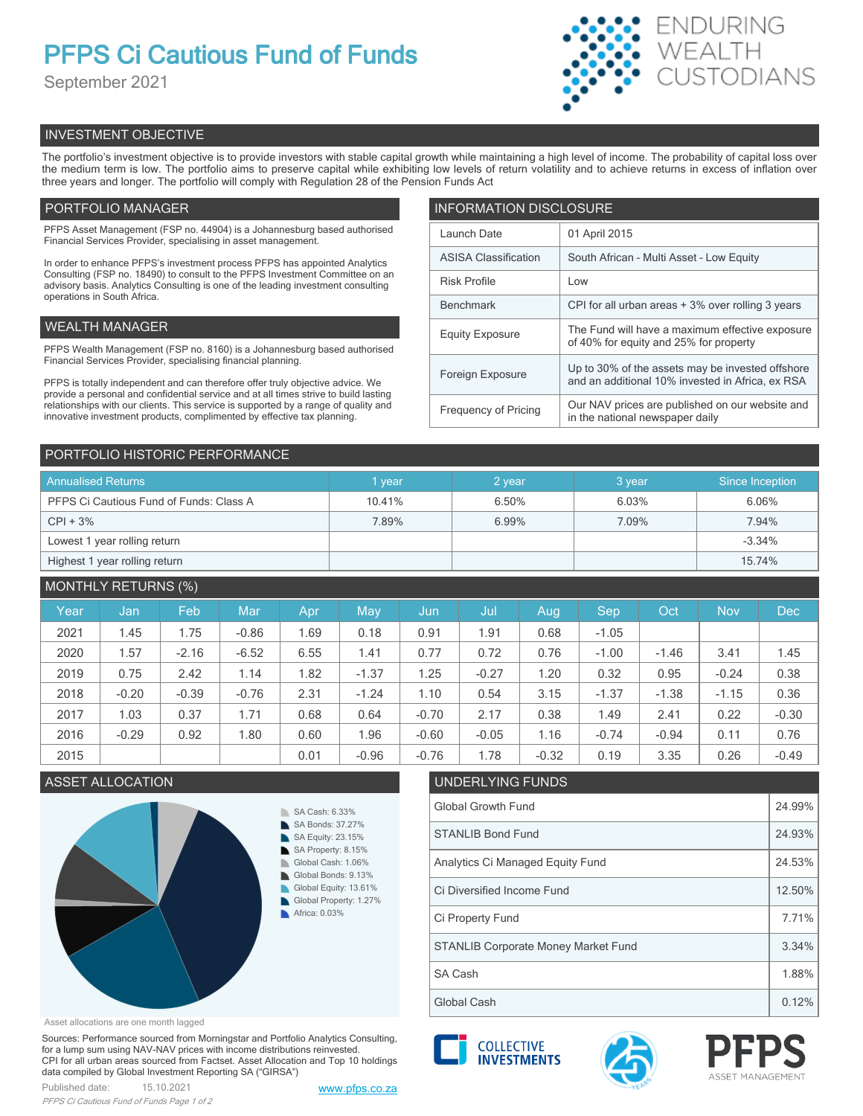# **PFPS Ci Cautious Fund of Funds**

September 2021



# INVESTMENT OBJECTIVE

The portfolio's investment objective is to provide investors with stable capital growth while maintaining a high level of income. The probability of capital loss over the medium term is low. The portfolio aims to preserve capital while exhibiting low levels of return volatility and to achieve returns in excess of inflation over three years and longer. The portfolio will comply with Regulation 28 of the Pension Funds Act

# PORTFOLIO MANAGER

PFPS Asset Management (FSP no. 44904) is a Johannesburg based authorised Financial Services Provider, specialising in asset management.

In order to enhance PFPS's investment process PFPS has appointed Analytics Consulting (FSP no. 18490) to consult to the PFPS Investment Committee on an advisory basis. Analytics Consulting is one of the leading investment consulting operations in South Africa.

# WEALTH MANAGER

PFPS Wealth Management (FSP no. 8160) is a Johannesburg based authorised Financial Services Provider, specialising financial planning.

PFPS is totally independent and can therefore offer truly objective advice. We provide a personal and confidential service and at all times strive to build lasting relationships with our clients. This service is supported by a range of quality and innovative investment products, complimented by effective tax planning.

| <b>INFORMATION DISCLOSURE</b> |                                                                                                      |  |  |  |  |  |
|-------------------------------|------------------------------------------------------------------------------------------------------|--|--|--|--|--|
| Launch Date                   | 01 April 2015                                                                                        |  |  |  |  |  |
| <b>ASISA Classification</b>   | South African - Multi Asset - Low Equity                                                             |  |  |  |  |  |
| <b>Risk Profile</b>           | Low                                                                                                  |  |  |  |  |  |
| <b>Benchmark</b>              | CPI for all urban areas + 3% over rolling 3 years                                                    |  |  |  |  |  |
| <b>Equity Exposure</b>        | The Fund will have a maximum effective exposure<br>of 40% for equity and 25% for property            |  |  |  |  |  |
| Foreign Exposure              | Up to 30% of the assets may be invested offshore<br>and an additional 10% invested in Africa, ex RSA |  |  |  |  |  |
| <b>Frequency of Pricing</b>   | Our NAV prices are published on our website and<br>in the national newspaper daily                   |  |  |  |  |  |

# PORTFOLIO HISTORIC PERFORMANCE

| <b>Annualised Returns</b>               | vear   | 2 year | 3 year | Since Inception |
|-----------------------------------------|--------|--------|--------|-----------------|
| PFPS Ci Cautious Fund of Funds: Class A | 10.41% | 6.50%  | 6.03%  | 6.06%           |
| $CPI + 3%$                              | 7.89%  | 6.99%  | 7.09%  | 7.94%           |
| Lowest 1 year rolling return            |        |        |        | $-3.34%$        |
| Highest 1 year rolling return           |        |        |        | 15.74%          |

# MONTHLY RETURNS (%)

| Year | Jan     | Feb     | Mar     | Apr. | May     | Jun     | Jul     | Aug     | Sep     | Oct     | <b>Nov</b> | <b>Dec</b> |
|------|---------|---------|---------|------|---------|---------|---------|---------|---------|---------|------------|------------|
| 2021 | 1.45    | 1.75    | $-0.86$ | 1.69 | 0.18    | 0.91    | 1.91    | 0.68    | $-1.05$ |         |            |            |
| 2020 | 1.57    | $-2.16$ | $-6.52$ | 6.55 | 1.41    | 0.77    | 0.72    | 0.76    | $-1.00$ | $-1.46$ | 3.41       | 1.45       |
| 2019 | 0.75    | 2.42    | 1.14    | 1.82 | $-1.37$ | 1.25    | $-0.27$ | 1.20    | 0.32    | 0.95    | $-0.24$    | 0.38       |
| 2018 | $-0.20$ | $-0.39$ | $-0.76$ | 2.31 | $-1.24$ | 1.10    | 0.54    | 3.15    | $-1.37$ | $-1.38$ | $-1.15$    | 0.36       |
| 2017 | 1.03    | 0.37    | 1.71    | 0.68 | 0.64    | $-0.70$ | 2.17    | 0.38    | 1.49    | 2.41    | 0.22       | $-0.30$    |
| 2016 | $-0.29$ | 0.92    | 1.80    | 0.60 | 1.96    | $-0.60$ | $-0.05$ | 1.16    | $-0.74$ | $-0.94$ | 0.11       | 0.76       |
| 2015 |         |         |         | 0.01 | $-0.96$ | $-0.76$ | 1.78    | $-0.32$ | 0.19    | 3.35    | 0.26       | $-0.49$    |



#### Asset allocations are one month lagged

Sources: Performance sourced from Morningstar and Portfolio Analytics Consulting, for a lump sum using NAV-NAV prices with income distributions reinvested. CPI for all urban areas sourced from Factset. Asset Allocation and Top 10 holdings data compiled by Global Investment Reporting SA ("GIRSA")



Global Cash **1.12%** Clobal Cash **1.12%** 





SA Cash 2.5 and 2.88% and 2.88% and 2.88% and 2.88% and 2.88% and 2.88% and 2.88% and 2.88% and 2.88% and 2.88%